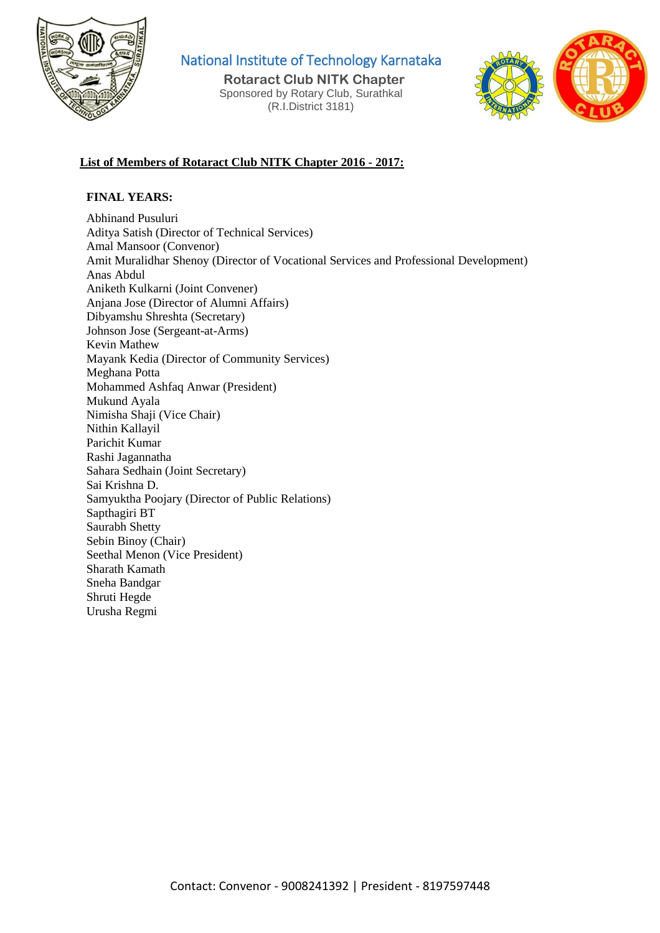

National Institute of Technology Karnataka

 **Rotaract Club NITK Chapter** Sponsored by Rotary Club, Surathkal (R.I.District 3181)



# **List of Members of Rotaract Club NITK Chapter 2016 - 2017:**

### **FINAL YEARS:**

Abhinand Pusuluri Aditya Satish (Director of Technical Services) Amal Mansoor (Convenor) Amit Muralidhar Shenoy (Director of Vocational Services and Professional Development) Anas Abdul Aniketh Kulkarni (Joint Convener) Anjana Jose (Director of Alumni Affairs) Dibyamshu Shreshta (Secretary) Johnson Jose (Sergeant-at-Arms) Kevin Mathew Mayank Kedia (Director of Community Services) Meghana Potta Mohammed Ashfaq Anwar (President) Mukund Ayala Nimisha Shaji (Vice Chair) Nithin Kallayil Parichit Kumar Rashi Jagannatha Sahara Sedhain (Joint Secretary) Sai Krishna D. Samyuktha Poojary (Director of Public Relations) Sapthagiri BT Saurabh Shetty Sebin Binoy (Chair) Seethal Menon (Vice President) Sharath Kamath Sneha Bandgar Shruti Hegde Urusha Regmi